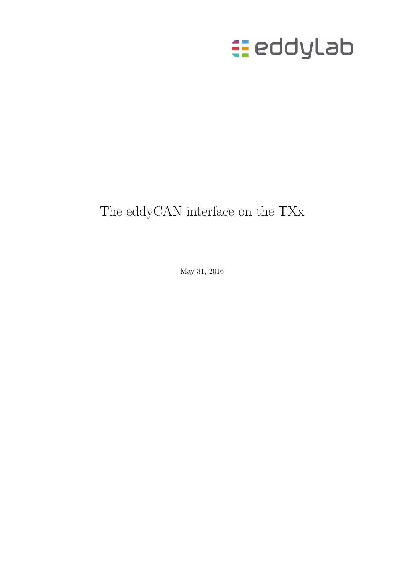

# The eddyCAN interface on the TXx

May 31, 2016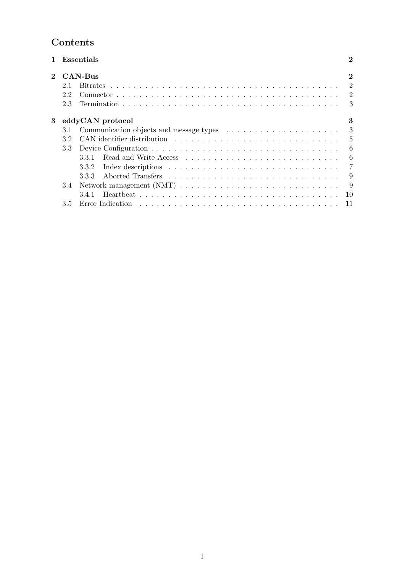# Contents

| 1        |     | Essentials                                                                            | $\bf{2}$         |
|----------|-----|---------------------------------------------------------------------------------------|------------------|
| $\bf{2}$ |     | CAN-Bus                                                                               | $\bf{2}$         |
|          | 2.1 |                                                                                       |                  |
|          | 2.2 |                                                                                       |                  |
|          | 2.3 |                                                                                       |                  |
| 3        |     | eddyCAN protocol                                                                      | 3                |
|          | 3.1 | Communication objects and message types $\ldots \ldots \ldots \ldots \ldots \ldots$ 3 |                  |
|          | 3.2 |                                                                                       |                  |
|          | 3.3 |                                                                                       | $6\phantom{.0}6$ |
|          |     | 3.3.1                                                                                 | - 6              |
|          |     | 3.3.2                                                                                 | $\overline{7}$   |
|          |     | 3.3.3                                                                                 | - 9              |
|          | 3.4 |                                                                                       | - 9              |
|          |     |                                                                                       | -10              |
|          | 3.5 |                                                                                       |                  |
|          |     |                                                                                       |                  |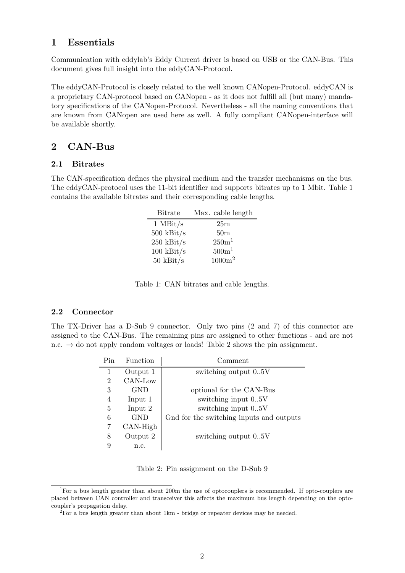## 1 Essentials

Communication with eddylab's Eddy Current driver is based on USB or the CAN-Bus. This document gives full insight into the eddyCAN-Protocol.

The eddyCAN-Protocol is closely related to the well known CANopen-Protocol. eddyCAN is a proprietary CAN-protocol based on CANopen - as it does not fulfill all (but many) mandatory specifications of the CANopen-Protocol. Nevertheless - all the naming conventions that are known from CANopen are used here as well. A fully compliant CANopen-interface will be available shortly.

## 2 CAN-Bus

#### 2.1 Bitrates

The CAN-specification defines the physical medium and the transfer mechanisms on the bus. The eddyCAN-protocol uses the 11-bit identifier and supports bitrates up to 1 Mbit. Table 1 contains the available bitrates and their corresponding cable lengths.

| <b>Bitrate</b>    | Max. cable length |
|-------------------|-------------------|
| $1$ MBit/s        | 25m               |
| $500$ kBit/s $\,$ | 50 <sub>m</sub>   |
| $250$ kBit/s      | 250m <sup>1</sup> |
| $100$ kBit/s      | 500m <sup>1</sup> |
| $50$ kBit/s       | $1000m^2$         |

Table 1: CAN bitrates and cable lengths.

### 2.2 Connector

The TX-Driver has a D-Sub 9 connector. Only two pins (2 and 7) of this connector are assigned to the CAN-Bus. The remaining pins are assigned to other functions - and are not n.c.  $\rightarrow$  do not apply random voltages or loads! Table 2 shows the pin assignment.

| Pin            | <b>Function</b> | Comment                                  |
|----------------|-----------------|------------------------------------------|
| 1              | Output 1        | switching output 05V                     |
| $\overline{2}$ | CAN-Low         |                                          |
| 3              | GND             | optional for the CAN-Bus                 |
| 4              | Input 1         | switching input 05V                      |
| 5              | Input 2         | switching input 05V                      |
| 6              | <b>GND</b>      | Gnd for the switching inputs and outputs |
| $\overline{7}$ | CAN-High        |                                          |
| 8              | Output 2        | switching output 0.5V                    |
| 9              | n.c.            |                                          |

Table 2: Pin assignment on the D-Sub 9

<sup>&</sup>lt;sup>1</sup>For a bus length greater than about 200m the use of optocouplers is recommended. If opto-couplers are placed between CAN controller and transceiver this affects the maximum bus length depending on the optocoupler's propagation delay.

<sup>2</sup>For a bus length greater than about 1km - bridge or repeater devices may be needed.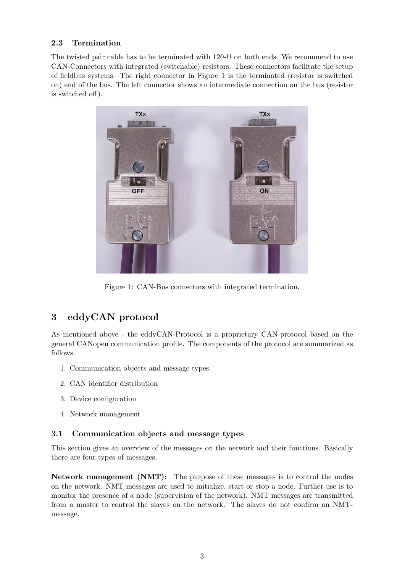## 2.3 Termination

The twisted pair cable has to be terminated with 120- $\Omega$  on both ends. We recommend to use CAN-Connectors with integrated (switchable) resistors. These connectors facilitate the setup of fieldbus systems. The right connector in Figure 1 is the terminated (resistor is switched on) end of the bus. The left connector shows an intermediate connection on the bus (resistor is switched off).



Figure 1: CAN-Bus connectors with integrated termination.

## 3 eddyCAN protocol

As mentioned above - the eddyCAN-Protocol is a proprietary CAN-protocol based on the general CANopen communication profile. The components of the protocol are summarized as follows.

- 1. Communication objects and message types.
- 2. CAN identifier distribution
- 3. Device configuration
- 4. Network management

## 3.1 Communication objects and message types

This section gives an overview of the messages on the network and their functions. Basically there are four types of messages.

Network management (NMT): The purpose of these messages is to control the nodes on the network. NMT messages are used to initialize, start or stop a node. Further use is to monitor the presence of a node (supervision of the network). NMT messages are transmitted from a master to control the slaves on the network. The slaves do not confirm an NMTmessage.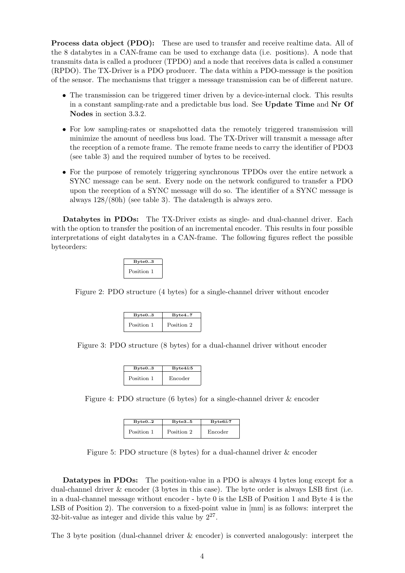Process data object (PDO): These are used to transfer and receive realtime data. All of the 8 databytes in a CAN-frame can be used to exchange data (i.e. positions). A node that transmits data is called a producer (TPDO) and a node that receives data is called a consumer (RPDO). The TX-Driver is a PDO producer. The data within a PDO-message is the position of the sensor. The mechanisms that trigger a message transmission can be of different nature.

- The transmission can be triggered timer driven by a device-internal clock. This results in a constant sampling-rate and a predictable bus load. See Update Time and Nr Of Nodes in section 3.3.2.
- For low sampling-rates or snapshotted data the remotely triggered transmission will minimize the amount of needless bus load. The TX-Driver will transmit a message after the reception of a remote frame. The remote frame needs to carry the identifier of PDO3 (see table 3) and the required number of bytes to be received.
- For the purpose of remotely triggering synchronous TPDOs over the entire network a SYNC message can be sent. Every node on the network configured to transfer a PDO upon the reception of a SYNC message will do so. The identifier of a SYNC message is always 128/(80h) (see table 3). The datalength is always zero.

Databytes in PDOs: The TX-Driver exists as single- and dual-channel driver. Each with the option to transfer the position of an incremental encoder. This results in four possible interpretations of eight databytes in a CAN-frame. The following figures reflect the possible byteorders:



Figure 2: PDO structure (4 bytes) for a single-channel driver without encoder

| Byte03     | Byte47     |  |
|------------|------------|--|
| Position 1 | Position 2 |  |

Figure 3: PDO structure (8 bytes) for a dual-channel driver without encoder

| Byte03     | $Byte4\&5$ |
|------------|------------|
| Position 1 | Encoder    |

Figure 4: PDO structure (6 bytes) for a single-channel driver & encoder

| Byte02     | Byte35     | $Byte6\&7$ |
|------------|------------|------------|
| Position 1 | Position 2 | Encoder    |

Figure 5: PDO structure (8 bytes) for a dual-channel driver & encoder

Datatypes in PDOs: The position-value in a PDO is always 4 bytes long except for a dual-channel driver & encoder (3 bytes in this case). The byte order is always LSB first (i.e. in a dual-channel message without encoder - byte 0 is the LSB of Position 1 and Byte 4 is the LSB of Position 2). The conversion to a fixed-point value in  $\text{[mm]}$  is as follows: interpret the 32-bit-value as integer and divide this value by  $2^{27}$ .

The 3 byte position (dual-channel driver & encoder) is converted analogously: interpret the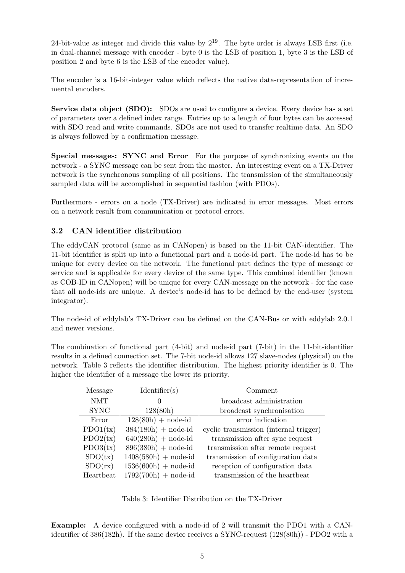24-bit-value as integer and divide this value by  $2^{19}$ . The byte order is always LSB first (i.e. in dual-channel message with encoder - byte 0 is the LSB of position 1, byte 3 is the LSB of position 2 and byte 6 is the LSB of the encoder value).

The encoder is a 16-bit-integer value which reflects the native data-representation of incremental encoders.

Service data object (SDO): SDOs are used to configure a device. Every device has a set of parameters over a defined index range. Entries up to a length of four bytes can be accessed with SDO read and write commands. SDOs are not used to transfer realtime data. An SDO is always followed by a confirmation message.

Special messages: SYNC and Error For the purpose of synchronizing events on the network - a SYNC message can be sent from the master. An interesting event on a TX-Driver network is the synchronous sampling of all positions. The transmission of the simultaneously sampled data will be accomplished in sequential fashion (with PDOs).

Furthermore - errors on a node (TX-Driver) are indicated in error messages. Most errors on a network result from communication or protocol errors.

## 3.2 CAN identifier distribution

The eddyCAN protocol (same as in CANopen) is based on the 11-bit CAN-identifier. The 11-bit identifier is split up into a functional part and a node-id part. The node-id has to be unique for every device on the network. The functional part defines the type of message or service and is applicable for every device of the same type. This combined identifier (known as COB-ID in CANopen) will be unique for every CAN-message on the network - for the case that all node-ids are unique. A device's node-id has to be defined by the end-user (system integrator).

The node-id of eddylab's TX-Driver can be defined on the CAN-Bus or with eddylab 2.0.1 and newer versions.

The combination of functional part (4-bit) and node-id part (7-bit) in the 11-bit-identifier results in a defined connection set. The 7-bit node-id allows 127 slave-nodes (physical) on the network. Table 3 reflects the identifier distribution. The highest priority identifier is 0. The higher the identifier of a message the lower its priority.

| Message     | Identifier(s)          | Comment                                |
|-------------|------------------------|----------------------------------------|
| <b>NMT</b>  |                        | broadcast administration               |
| <b>SYNC</b> | 128(80h)               | broadcast synchronisation              |
| Error       | $128(80h) + node-id$   | error indication                       |
| PDO1(tx)    | $384(180h) + node-id$  | cyclic transmission (internal trigger) |
| PDO2(tx)    | $640(280h) + node-id$  | transmission after sync request        |
| PDO3(tx)    | $896(380h) + node-id$  | transmission after remote request      |
| SDO(tx)     | $1408(580h) + node-id$ | transmission of configuration data     |
| SDO(rx)     | $1536(600h) + node-id$ | reception of configuration data        |
| Heartbeat   | $1792(700h) + node-id$ | transmission of the heartbeat          |

Table 3: Identifier Distribution on the TX-Driver

Example: A device configured with a node-id of 2 will transmit the PDO1 with a CANidentifier of 386(182h). If the same device receives a SYNC-request (128(80h)) - PDO2 with a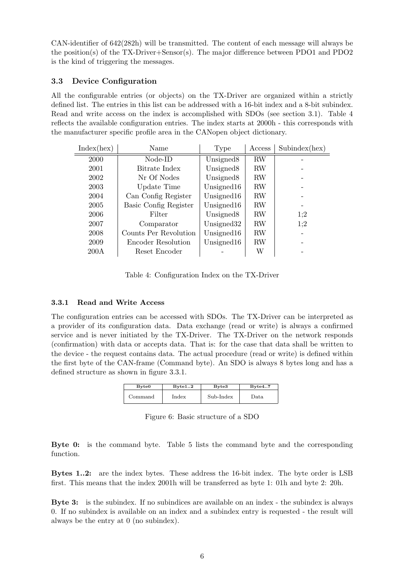CAN-identifier of 642(282h) will be transmitted. The content of each message will always be the position(s) of the TX-Driver+Sensor(s). The major difference between PDO1 and PDO2 is the kind of triggering the messages.

### 3.3 Device Configuration

All the configurable entries (or objects) on the TX-Driver are organized within a strictly defined list. The entries in this list can be addressed with a 16-bit index and a 8-bit subindex. Read and write access on the index is accomplished with SDOs (see section 3.1). Table 4 reflects the available configuration entries. The index starts at 2000h - this corresponds with the manufacturer specific profile area in the CANopen object dictionary.

| Index(hex) | Name                  | Type                   | Access    | Subindex(hex) |
|------------|-----------------------|------------------------|-----------|---------------|
| 2000       | Node-ID               | Unsigned <sub>8</sub>  | <b>RW</b> |               |
| 2001       | Bitrate Index         | Unsigned <sub>8</sub>  | <b>RW</b> |               |
| 2002       | Nr Of Nodes           | Unsigned <sub>8</sub>  | <b>RW</b> |               |
| 2003       | Update Time           | Unsigned $16$          | <b>RW</b> |               |
| 2004       | Can Config Register   | Unsigned $16$          | <b>RW</b> |               |
| 2005       | Basic Config Register | Unsigned $16$          | <b>RW</b> |               |
| 2006       | Filter                | Unsigned <sub>8</sub>  | <b>RW</b> | 1:2           |
| 2007       | Comparator            | Unsigned <sub>32</sub> | <b>RW</b> | 1:2           |
| 2008       | Counts Per Revolution | Unsigned $16$          | RW        |               |
| 2009       | Encoder Resolution    | Unsigned $16$          | <b>RW</b> |               |
| 200A       | Reset Encoder         |                        | W         |               |

Table 4: Configuration Index on the TX-Driver

#### 3.3.1 Read and Write Access

The configuration entries can be accessed with SDOs. The TX-Driver can be interpreted as a provider of its configuration data. Data exchange (read or write) is always a confirmed service and is never initiated by the TX-Driver. The TX-Driver on the network responds (confirmation) with data or accepts data. That is: for the case that data shall be written to the device - the request contains data. The actual procedure (read or write) is defined within the first byte of the CAN-frame (Command byte). An SDO is always 8 bytes long and has a defined structure as shown in figure 3.3.1.

| Byte <sub>0</sub> | Byte12 | Byte3     | Byte47 |
|-------------------|--------|-----------|--------|
| Command           | Index  | Sub-Index | Data   |

Figure 6: Basic structure of a SDO

Byte 0: is the command byte. Table 5 lists the command byte and the corresponding function.

Bytes 1..2: are the index bytes. These address the 16-bit index. The byte order is LSB first. This means that the index 2001h will be transferred as byte 1: 01h and byte 2: 20h.

Byte 3: is the subindex. If no subindices are available on an index - the subindex is always 0. If no subindex is available on an index and a subindex entry is requested - the result will always be the entry at 0 (no subindex).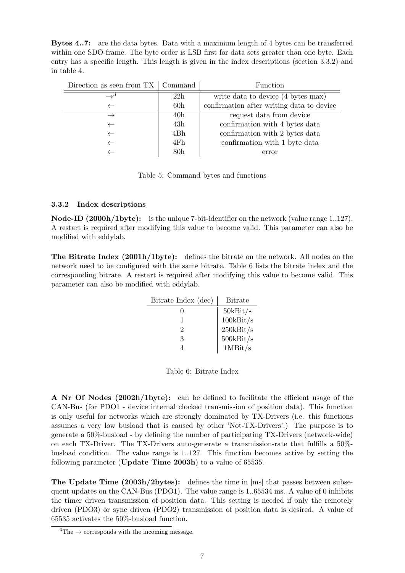Bytes 4..7: are the data bytes. Data with a maximum length of 4 bytes can be transferred within one SDO-frame. The byte order is LSB first for data sets greater than one byte. Each entry has a specific length. This length is given in the index descriptions (section 3.3.2) and in table 4.

| Direction as seen from $TX \mid \text{Command}$ |                 | <b>Function</b>                           |
|-------------------------------------------------|-----------------|-------------------------------------------|
|                                                 | 22h             | write data to device (4 bytes max)        |
|                                                 | 60 <sub>h</sub> | confirmation after writing data to device |
|                                                 | 40 <sub>h</sub> | request data from device                  |
|                                                 | 43h             | confirmation with 4 bytes data            |
|                                                 | 4Bh             | confirmation with 2 bytes data            |
|                                                 | 4Fh             | confirmation with 1 byte data             |
|                                                 | 80 <sub>h</sub> | error                                     |

Table 5: Command bytes and functions

#### 3.3.2 Index descriptions

Node-ID (2000h/1byte): is the unique 7-bit-identifier on the network (value range 1..127). A restart is required after modifying this value to become valid. This parameter can also be modified with eddylab.

The Bitrate Index (2001h/1byte): defines the bitrate on the network. All nodes on the network need to be configured with the same bitrate. Table 6 lists the bitrate index and the corresponding bitrate. A restart is required after modifying this value to become valid. This parameter can also be modified with eddylab.

| Bitrate Index (dec) | <b>Bitrate</b> |
|---------------------|----------------|
|                     | 50kBit/s       |
|                     | $100$ kBit/s   |
| 2                   | $250$ kBit/s   |
| 3                   | $500$ kBit/s   |
|                     | 1MBit/s        |

 $\equiv$ 

Table 6: Bitrate Index

A Nr Of Nodes (2002h/1byte): can be defined to facilitate the efficient usage of the CAN-Bus (for PDO1 - device internal clocked transmission of position data). This function is only useful for networks which are strongly dominated by TX-Drivers (i.e. this functions assumes a very low busload that is caused by other 'Not-TX-Drivers'.) The purpose is to generate a 50%-busload - by defining the number of participating TX-Drivers (network-wide) on each TX-Driver. The TX-Drivers auto-generate a transmission-rate that fulfills a 50% busload condition. The value range is 1..127. This function becomes active by setting the following parameter (Update Time 2003h) to a value of 65535.

The Update Time (2003h/2bytes): defines the time in [ms] that passes between subsequent updates on the CAN-Bus (PDO1). The value range is 1..65534 ms. A value of 0 inhibits the timer driven transmission of position data. This setting is needed if only the remotely driven (PDO3) or sync driven (PDO2) transmission of position data is desired. A value of 65535 activates the 50%-busload function.

 ${}^{3}$ The  $\rightarrow$  corresponds with the incoming message.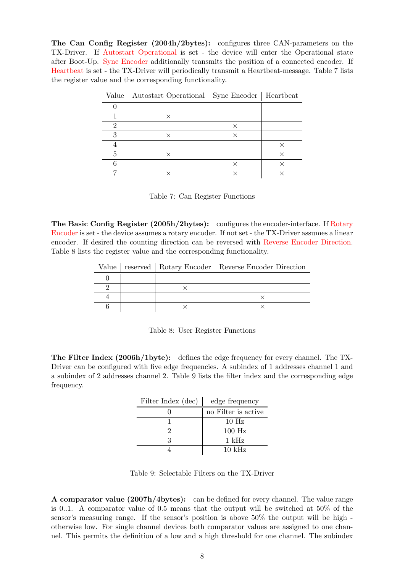The Can Config Register (2004h/2bytes): configures three CAN-parameters on the TX-Driver. If Autostart Operational is set - the device will enter the Operational state after Boot-Up. Sync Encoder additionally transmits the position of a connected encoder. If Heartbeat is set - the TX-Driver will periodically transmit a Heartbeat-message. Table 7 lists the register value and the corresponding functionality.

| Value | Autostart Operational   Sync Encoder   Heartbeat |          |   |
|-------|--------------------------------------------------|----------|---|
|       |                                                  |          |   |
|       | ×                                                |          |   |
| າ     |                                                  | ×        |   |
|       | $\times$                                         | $\times$ |   |
|       |                                                  |          |   |
|       | ×                                                |          | × |
|       |                                                  | ×        |   |
|       |                                                  |          |   |

Table 7: Can Register Functions

The Basic Config Register (2005h/2bytes): configures the encoder-interface. If Rotary Encoder is set - the device assumes a rotary encoder. If not set - the TX-Driver assumes a linear encoder. If desired the counting direction can be reversed with Reverse Encoder Direction. Table 8 lists the register value and the corresponding functionality.

|  | Value   reserved   Rotary Encoder   Reverse Encoder Direction |
|--|---------------------------------------------------------------|
|  |                                                               |
|  |                                                               |
|  |                                                               |
|  |                                                               |

|  |  |  | Table 8: User Register Functions |
|--|--|--|----------------------------------|
|--|--|--|----------------------------------|

The Filter Index (2006h/1byte): defines the edge frequency for every channel. The TX-Driver can be configured with five edge frequencies. A subindex of 1 addresses channel 1 and a subindex of 2 addresses channel 2. Table 9 lists the filter index and the corresponding edge frequency.

| Filter Index (dec) | edge frequency       |
|--------------------|----------------------|
|                    | no Filter is active. |
|                    | $10$ Hz              |
|                    | $100$ Hz             |
|                    | $1 \text{ kHz}$      |
|                    | $10 \;{\rm kHz}$     |

| Table 9: Selectable Filters on the TX-Driver |  |
|----------------------------------------------|--|
|----------------------------------------------|--|

A comparator value (2007h/4bytes): can be defined for every channel. The value range is 0..1. A comparator value of 0.5 means that the output will be switched at 50% of the sensor's measuring range. If the sensor's position is above 50% the output will be high otherwise low. For single channel devices both comparator values are assigned to one channel. This permits the definition of a low and a high threshold for one channel. The subindex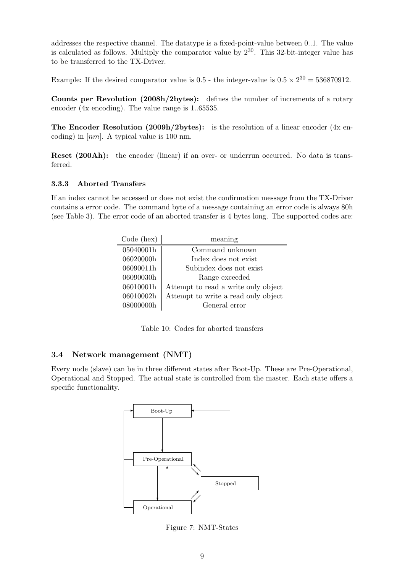addresses the respective channel. The datatype is a fixed-point-value between 0..1. The value is calculated as follows. Multiply the comparator value by  $2^{30}$ . This 32-bit-integer value has to be transferred to the TX-Driver.

Example: If the desired comparator value is 0.5 - the integer-value is  $0.5 \times 2^{30} = 536870912$ .

Counts per Revolution (2008h/2bytes): defines the number of increments of a rotary encoder (4x encoding). The value range is 1..65535.

The Encoder Resolution (2009h/2bytes): is the resolution of a linear encoder  $(4x \text{ en-})$ coding) in  $\lfloor nm \rfloor$ . A typical value is 100 nm.

Reset (200Ah): the encoder (linear) if an over- or underrun occurred. No data is transferred.

## 3.3.3 Aborted Transfers

If an index cannot be accessed or does not exist the confirmation message from the TX-Driver contains a error code. The command byte of a message containing an error code is always 80h (see Table 3). The error code of an aborted transfer is 4 bytes long. The supported codes are:

| Code (hex) | meaning                             |
|------------|-------------------------------------|
| 05040001h  | Command unknown                     |
| 06020000h  | Index does not exist                |
| 06090011h  | Subindex does not exist.            |
| 06090030h  | Range exceeded                      |
| 06010001h  | Attempt to read a write only object |
| 06010002h  | Attempt to write a read only object |
| 08000000h  | General error                       |

Table 10: Codes for aborted transfers

## 3.4 Network management (NMT)

Every node (slave) can be in three different states after Boot-Up. These are Pre-Operational, Operational and Stopped. The actual state is controlled from the master. Each state offers a specific functionality.



Figure 7: NMT-States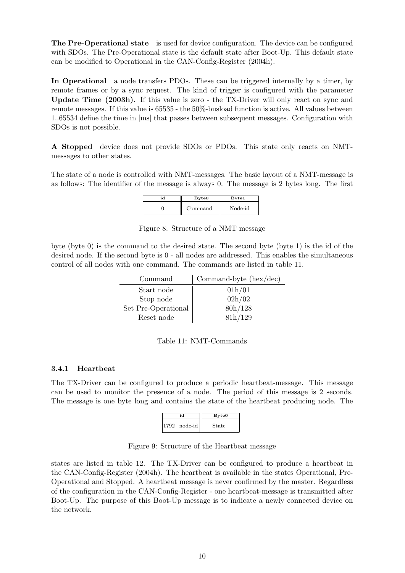The Pre-Operational state is used for device configuration. The device can be configured with SDOs. The Pre-Operational state is the default state after Boot-Up. This default state can be modified to Operational in the CAN-Config-Register (2004h).

In Operational a node transfers PDOs. These can be triggered internally by a timer, by remote frames or by a sync request. The kind of trigger is configured with the parameter Update Time (2003h). If this value is zero - the TX-Driver will only react on sync and remote messages. If this value is 65535 - the 50%-busload function is active. All values between 1..65534 define the time in [ms] that passes between subsequent messages. Configuration with SDOs is not possible.

A Stopped device does not provide SDOs or PDOs. This state only reacts on NMTmessages to other states.

The state of a node is controlled with NMT-messages. The basic layout of a NMT-message is as follows: The identifier of the message is always 0. The message is 2 bytes long. The first

| id | Byte <sub>0</sub> | Byte1   |
|----|-------------------|---------|
|    | Command           | Node-id |

Figure 8: Structure of a NMT message

byte (byte 0) is the command to the desired state. The second byte (byte 1) is the id of the desired node. If the second byte is 0 - all nodes are addressed. This enables the simultaneous control of all nodes with one command. The commands are listed in table 11.

| Command             | Command-byte $(hex/dec)$ |
|---------------------|--------------------------|
| Start node          | 01h/01                   |
| Stop node           | 02h/02                   |
| Set Pre-Operational | 80h/128                  |
| Reset node          | 81h/129                  |

| Table 11: NMT-Commands |
|------------------------|
|------------------------|

#### 3.4.1 Heartbeat

The TX-Driver can be configured to produce a periodic heartbeat-message. This message can be used to monitor the presence of a node. The period of this message is 2 seconds. The message is one byte long and contains the state of the heartbeat producing node. The



Figure 9: Structure of the Heartbeat message

states are listed in table 12. The TX-Driver can be configured to produce a heartbeat in the CAN-Config-Register (2004h). The heartbeat is available in the states Operational, Pre-Operational and Stopped. A heartbeat message is never confirmed by the master. Regardless of the configuration in the CAN-Config-Register - one heartbeat-message is transmitted after Boot-Up. The purpose of this Boot-Up message is to indicate a newly connected device on the network.